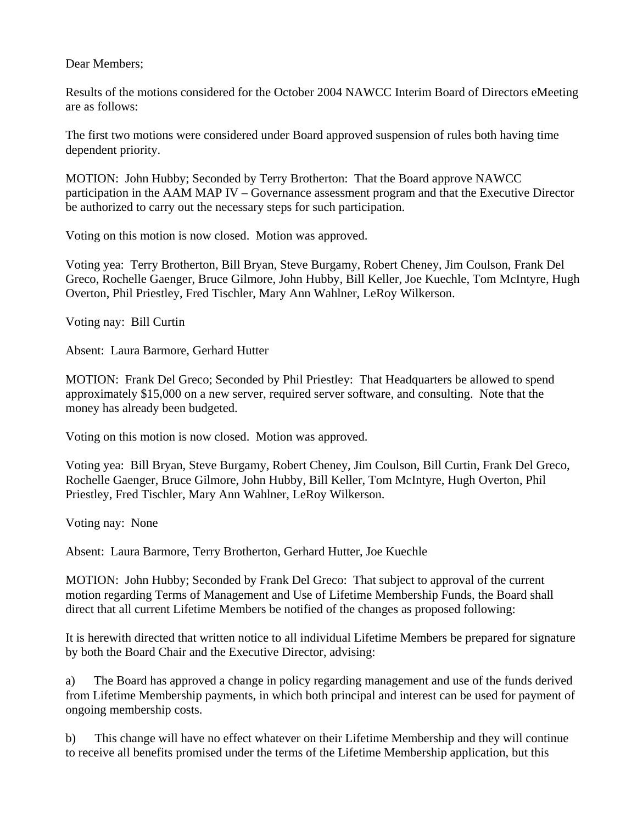Dear Members;

Results of the motions considered for the October 2004 NAWCC Interim Board of Directors eMeeting are as follows:

The first two motions were considered under Board approved suspension of rules both having time dependent priority.

MOTION: John Hubby; Seconded by Terry Brotherton: That the Board approve NAWCC participation in the AAM MAP IV – Governance assessment program and that the Executive Director be authorized to carry out the necessary steps for such participation.

Voting on this motion is now closed. Motion was approved.

Voting yea: Terry Brotherton, Bill Bryan, Steve Burgamy, Robert Cheney, Jim Coulson, Frank Del Greco, Rochelle Gaenger, Bruce Gilmore, John Hubby, Bill Keller, Joe Kuechle, Tom McIntyre, Hugh Overton, Phil Priestley, Fred Tischler, Mary Ann Wahlner, LeRoy Wilkerson.

Voting nay: Bill Curtin

Absent: Laura Barmore, Gerhard Hutter

MOTION: Frank Del Greco; Seconded by Phil Priestley: That Headquarters be allowed to spend approximately \$15,000 on a new server, required server software, and consulting. Note that the money has already been budgeted.

Voting on this motion is now closed. Motion was approved.

Voting yea: Bill Bryan, Steve Burgamy, Robert Cheney, Jim Coulson, Bill Curtin, Frank Del Greco, Rochelle Gaenger, Bruce Gilmore, John Hubby, Bill Keller, Tom McIntyre, Hugh Overton, Phil Priestley, Fred Tischler, Mary Ann Wahlner, LeRoy Wilkerson.

Voting nay: None

Absent: Laura Barmore, Terry Brotherton, Gerhard Hutter, Joe Kuechle

MOTION: John Hubby; Seconded by Frank Del Greco: That subject to approval of the current motion regarding Terms of Management and Use of Lifetime Membership Funds, the Board shall direct that all current Lifetime Members be notified of the changes as proposed following:

It is herewith directed that written notice to all individual Lifetime Members be prepared for signature by both the Board Chair and the Executive Director, advising:

a) The Board has approved a change in policy regarding management and use of the funds derived from Lifetime Membership payments, in which both principal and interest can be used for payment of ongoing membership costs.

b) This change will have no effect whatever on their Lifetime Membership and they will continue to receive all benefits promised under the terms of the Lifetime Membership application, but this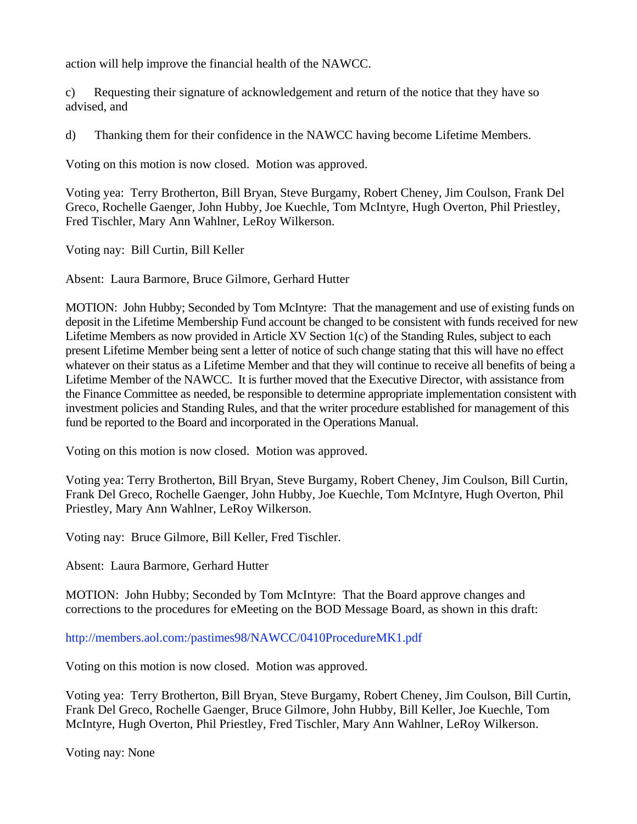action will help improve the financial health of the NAWCC.

c) Requesting their signature of acknowledgement and return of the notice that they have so advised, and

d) Thanking them for their confidence in the NAWCC having become Lifetime Members.

Voting on this motion is now closed. Motion was approved.

Voting yea: Terry Brotherton, Bill Bryan, Steve Burgamy, Robert Cheney, Jim Coulson, Frank Del Greco, Rochelle Gaenger, John Hubby, Joe Kuechle, Tom McIntyre, Hugh Overton, Phil Priestley, Fred Tischler, Mary Ann Wahlner, LeRoy Wilkerson.

Voting nay: Bill Curtin, Bill Keller

Absent: Laura Barmore, Bruce Gilmore, Gerhard Hutter

MOTION: John Hubby; Seconded by Tom McIntyre: That the management and use of existing funds on deposit in the Lifetime Membership Fund account be changed to be consistent with funds received for new Lifetime Members as now provided in Article XV Section 1(c) of the Standing Rules, subject to each present Lifetime Member being sent a letter of notice of such change stating that this will have no effect whatever on their status as a Lifetime Member and that they will continue to receive all benefits of being a Lifetime Member of the NAWCC. It is further moved that the Executive Director, with assistance from the Finance Committee as needed, be responsible to determine appropriate implementation consistent with investment policies and Standing Rules, and that the writer procedure established for management of this fund be reported to the Board and incorporated in the Operations Manual.

Voting on this motion is now closed. Motion was approved.

Voting yea: Terry Brotherton, Bill Bryan, Steve Burgamy, Robert Cheney, Jim Coulson, Bill Curtin, Frank Del Greco, Rochelle Gaenger, John Hubby, Joe Kuechle, Tom McIntyre, Hugh Overton, Phil Priestley, Mary Ann Wahlner, LeRoy Wilkerson.

Voting nay: Bruce Gilmore, Bill Keller, Fred Tischler.

Absent: Laura Barmore, Gerhard Hutter

MOTION: John Hubby; Seconded by Tom McIntyre: That the Board approve changes and corrections to the procedures for eMeeting on the BOD Message Board, as shown in this draft:

[http://members.aol.com:/pastimes98/NAWCC/0410ProcedureMK1.pdf](http://members.aol.com/pastimes98/NAWCC/0410ProcedureMK1.pdf)

Voting on this motion is now closed. Motion was approved.

Voting yea: Terry Brotherton, Bill Bryan, Steve Burgamy, Robert Cheney, Jim Coulson, Bill Curtin, Frank Del Greco, Rochelle Gaenger, Bruce Gilmore, John Hubby, Bill Keller, Joe Kuechle, Tom McIntyre, Hugh Overton, Phil Priestley, Fred Tischler, Mary Ann Wahlner, LeRoy Wilkerson.

Voting nay: None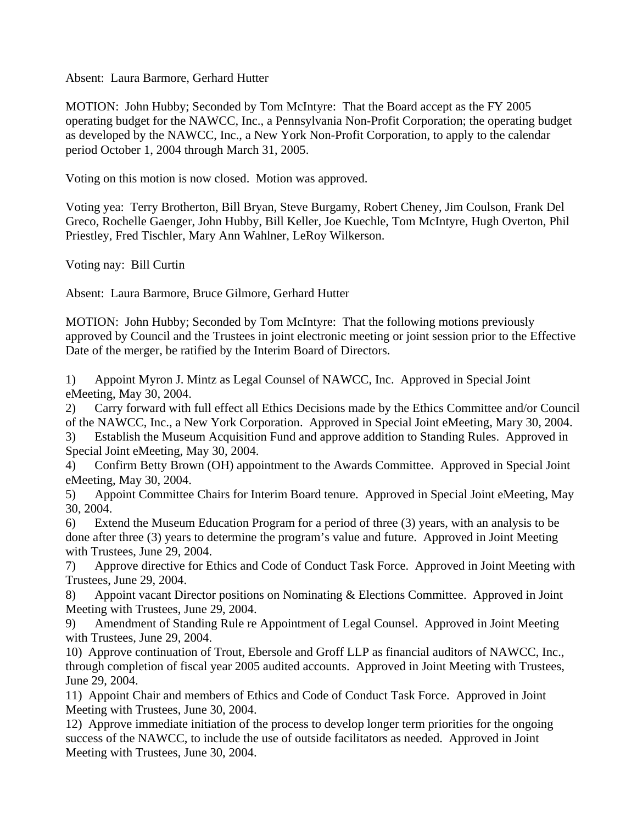Absent: Laura Barmore, Gerhard Hutter

MOTION: John Hubby; Seconded by Tom McIntyre: That the Board accept as the FY 2005 operating budget for the NAWCC, Inc., a Pennsylvania Non-Profit Corporation; the operating budget as developed by the NAWCC, Inc., a New York Non-Profit Corporation, to apply to the calendar period October 1, 2004 through March 31, 2005.

Voting on this motion is now closed. Motion was approved.

Voting yea: Terry Brotherton, Bill Bryan, Steve Burgamy, Robert Cheney, Jim Coulson, Frank Del Greco, Rochelle Gaenger, John Hubby, Bill Keller, Joe Kuechle, Tom McIntyre, Hugh Overton, Phil Priestley, Fred Tischler, Mary Ann Wahlner, LeRoy Wilkerson.

Voting nay: Bill Curtin

Absent: Laura Barmore, Bruce Gilmore, Gerhard Hutter

MOTION: John Hubby; Seconded by Tom McIntyre: That the following motions previously approved by Council and the Trustees in joint electronic meeting or joint session prior to the Effective Date of the merger, be ratified by the Interim Board of Directors.

1) Appoint Myron J. Mintz as Legal Counsel of NAWCC, Inc. Approved in Special Joint eMeeting, May 30, 2004.

2) Carry forward with full effect all Ethics Decisions made by the Ethics Committee and/or Council of the NAWCC, Inc., a New York Corporation. Approved in Special Joint eMeeting, Mary 30, 2004.

3) Establish the Museum Acquisition Fund and approve addition to Standing Rules. Approved in Special Joint eMeeting, May 30, 2004.

4) Confirm Betty Brown (OH) appointment to the Awards Committee. Approved in Special Joint eMeeting, May 30, 2004.

5) Appoint Committee Chairs for Interim Board tenure. Approved in Special Joint eMeeting, May 30, 2004.

6) Extend the Museum Education Program for a period of three (3) years, with an analysis to be done after three (3) years to determine the program's value and future. Approved in Joint Meeting with Trustees, June 29, 2004.

7) Approve directive for Ethics and Code of Conduct Task Force. Approved in Joint Meeting with Trustees, June 29, 2004.

8) Appoint vacant Director positions on Nominating & Elections Committee. Approved in Joint Meeting with Trustees, June 29, 2004.

9) Amendment of Standing Rule re Appointment of Legal Counsel. Approved in Joint Meeting with Trustees, June 29, 2004.

10) Approve continuation of Trout, Ebersole and Groff LLP as financial auditors of NAWCC, Inc., through completion of fiscal year 2005 audited accounts. Approved in Joint Meeting with Trustees, June 29, 2004.

11) Appoint Chair and members of Ethics and Code of Conduct Task Force. Approved in Joint Meeting with Trustees, June 30, 2004.

12) Approve immediate initiation of the process to develop longer term priorities for the ongoing success of the NAWCC, to include the use of outside facilitators as needed. Approved in Joint Meeting with Trustees, June 30, 2004.